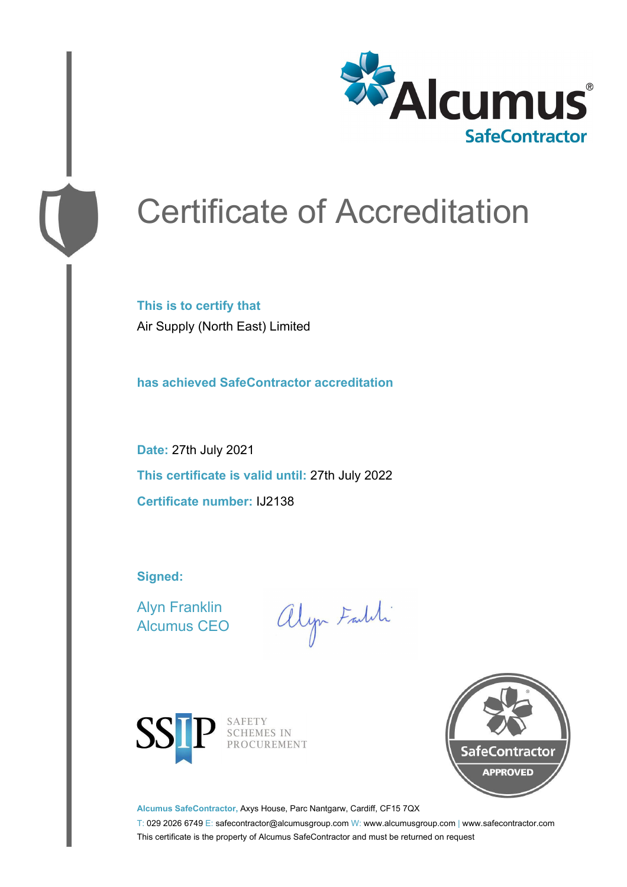

# Certificate of Accreditation

**This is to certify that** Air Supply (North East) Limited

**has achieved SafeContractor accreditation**

**Date:** 27th July 2021 **This certificate is valid until:** 27th July 2022 **Certificate number:** IJ2138

**Signed:**

Alyn Franklin Alcumus CEO

alyn Faldi



SAFETY<br>SCHEMES IN PROCUREMENT



**Alcumus SafeContractor,** Axys House, Parc Nantgarw, Cardiff, CF15 7QX

T: 029 2026 6749 E: safecontractor@alcumusgroup.com W: www.alcumusgroup.com | www.safecontractor.com This certificate is the property of Alcumus SafeContractor and must be returned on request